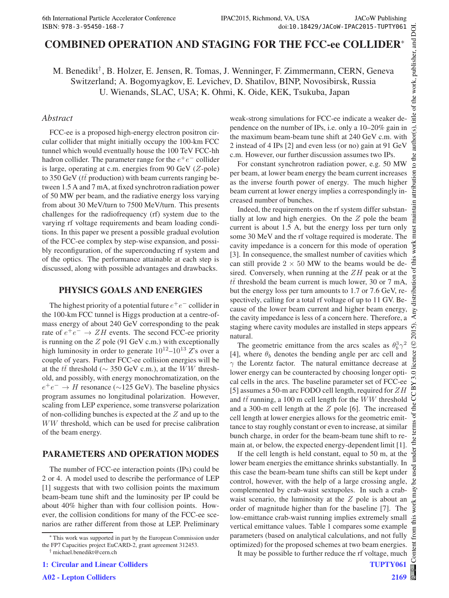# COMBINED OPERATION AND STAGING FOR THE FCC-ee COLLIDER<sup>∗</sup>

M. Benedikt<sup>†</sup>, B. Holzer, E. Jensen, R. Tomas, J. Wenninger, F. Zimmermann, CERN, Geneva Switzerland; A. Bogomyagkov, E. Levichev, D. Shatilov, BINP, Novosibirsk, Russia U. Wienands, SLAC, USA; K. Ohmi, K. Oide, KEK, Tsukuba, Japan

## *Abstract*

FCC-ee is a proposed high-energy electron positron circular collider that might initially occupy the 100-km FCC tunnel which would eventually house the 100 TeV FCC-hh hadron collider. The parameter range for the  $e^+e^-$  collider is large, operating at c.m. energies from 90 GeV (Z-pole) to 350 GeV ( $t\bar{t}$  production) with beam currents ranging between 1.5 A and 7 mA, at fixed synchrotron radiation power of 50 MW per beam, and the radiative energy loss varying from about 30 MeV/turn to 7500 MeV/turn. This presents challenges for the radiofrequency (rf) system due to the varying rf voltage requirements and beam loading conditions. In this paper we present a possible gradual evolution of the FCC-ee complex by step-wise expansion, and possibly reconfiguration, of the superconducting rf system and of the optics. The performance attainable at each step is discussed, along with possible advantages and drawbacks.

## PHYSICS GOALS AND ENERGIES

The highest priority of a potential future  $e^+e^-$  collider in the 100-km FCC tunnel is Higgs production at a centre-ofmass energy of about 240 GeV corresponding to the peak rate of  $e^+e^- \rightarrow ZH$  events. The second FCC-ee priority is running on the  $Z$  pole (91 GeV c.m.) with exceptionally high luminosity in order to generate  $10^{12}$ – $10^{13}$   $\overline{Z}$ 's over a couple of years. Further FCC-ee collision energies will be at the  $t\bar{t}$  threshold ( $\sim$  350 GeV c.m.), at the WW threshold, and possibly, with energy monochromatization, on the  $e^+e^- \rightarrow H$  resonance (~125 GeV). The baseline physics program assumes no longitudinal polarization. However, scaling from LEP experience, some transverse polarization of non-colliding bunches is expected at the Z and up to the WW threshold, which can be used for precise calibration of the beam energy.

## PARAMETERS AND OPERATION MODES

The number of FCC-ee interaction points (IPs) could be 2 or 4. A model used to describe the performance of LEP [1] suggests that with two collision points the maximum beam-beam tune shift and the luminosity per IP could be about 40% higher than with four collision points. However, the collision conditions for many of the FCC-ee scenarios are rather different from those at LEP. Preliminary

weak-strong simulations for FCC-ee indicate a weaker dependence on the number of IPs, i.e. only a 10–20% gain in the maximum beam-beam tune shift at 240 GeV c.m. with 2 instead of 4 IPs [2] and even less (or no) gain at 91 GeV c.m. However, our further discussion assumes two IPs.

For constant synchrotron radiation power, e.g. 50 MW per beam, at lower beam energy the beam current increases as the inverse fourth power of energy. The much higher beam current at lower energy implies a correspondingly increased number of bunches.

Indeed, the requirements on the rf system differ substantially at low and high energies. On the  $Z$  pole the beam current is about 1.5 A, but the energy loss per turn only some 30 MeV and the rf voltage required is moderate. The cavity impedance is a concern for this mode of operation [3]. In consequence, the smallest number of cavities which can still provide  $2 \times 50$  MW to the beams would be desired. Conversely, when running at the  $ZH$  peak or at the  $t\bar{t}$  threshold the beam current is much lower, 30 or 7 mA, but the energy loss per turn amounts to 1.7 or 7.6 GeV, respectively, calling for a total rf voltage of up to 11 GV. Because of the lower beam current and higher beam energy, the cavity impedance is less of a concern here. Therefore, a staging where cavity modules are installed in steps appears natural.

The geometric emittance from the arcs scales as  $\theta_b^3 \gamma^2$ [4], where  $\theta_b$  denotes the bending angle per arc cell and  $\gamma$  the Lorentz factor. The natural emittance decrease at lower energy can be counteracted by choosing longer optical cells in the arcs. The baseline parameter set of FCC-ee [5] assumes a 50-m arc FODO cell length, required for  $ZH$ and  $t\bar{t}$  running, a 100 m cell length for the WW threshold and a 300-m cell length at the Z pole [6]. The increased cell length at lower energies allows for the geometric emittance to stay roughly constant or even to increase, at similar bunch charge, in order for the beam-beam tune shift to remain at, or below, the expected energy-dependent limit [1].

If the cell length is held constant, equal to 50 m, at the lower beam energies the emittance shrinks substantially. In this case the beam-beam tune shifts can still be kept under control, however, with the help of a large crossing angle, complemented by crab-waist sextupoles. In such a crabwaist scenario, the luminosity at the  $Z$  pole is about an order of magnitude higher than for the baseline [7]. The low-emittance crab-waist running implies extremely small vertical emittance values. Table 1 compares some example from ( parameters (based on analytical calculations, and not fully optimized) for the proposed schemes at two beam energies. ent  $Cont$ 

It may be possible to further reduce the rf voltage, much

<sup>∗</sup> This work was supported in part by the European Commission under the FP7 Capacities project EuCARD-2, grant agreement 312453.

<sup>†</sup> michael.benedikt@cern.ch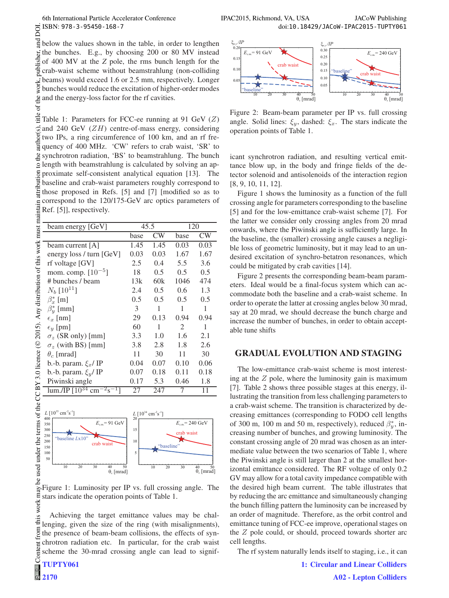|   | ISBN: 978-3-95450-168-7                                                                                                                                                                                                       |  |  |                                   |  |  |  |  |  |
|---|-------------------------------------------------------------------------------------------------------------------------------------------------------------------------------------------------------------------------------|--|--|-----------------------------------|--|--|--|--|--|
|   |                                                                                                                                                                                                                               |  |  |                                   |  |  |  |  |  |
|   | $\frac{1}{3}$ below the values shown in the table, in order to lengthe<br>fi the bunches. E.g., by choosing 200 or 80 MV instea                                                                                               |  |  |                                   |  |  |  |  |  |
|   | $\frac{1}{2}$ of 400 MV at the Z pole, the rms bunch length for the                                                                                                                                                           |  |  |                                   |  |  |  |  |  |
|   | a crab-waist scheme without beamstrahlung (non-collidin                                                                                                                                                                       |  |  |                                   |  |  |  |  |  |
|   |                                                                                                                                                                                                                               |  |  |                                   |  |  |  |  |  |
|   | $\frac{1}{2}$ beams) would exceed 1.6 or 2.5 mm, respectively. Longe<br>g bunches would reduce the excitation of higher-order mode                                                                                            |  |  |                                   |  |  |  |  |  |
|   |                                                                                                                                                                                                                               |  |  |                                   |  |  |  |  |  |
|   | g and the energy-loss factor for the rf cavities.                                                                                                                                                                             |  |  |                                   |  |  |  |  |  |
| đ |                                                                                                                                                                                                                               |  |  |                                   |  |  |  |  |  |
|   | $\frac{9}{2}$ Table 1: Parameters for FCC-ee running at 91 GeV (Z                                                                                                                                                             |  |  |                                   |  |  |  |  |  |
|   | $\widehat{\mathfrak{D}}$ and 240 GeV (ZH) centre-of-mass energy, considering                                                                                                                                                  |  |  |                                   |  |  |  |  |  |
|   | g two IPs, a ring circumference of 100 km, and an rf fre                                                                                                                                                                      |  |  |                                   |  |  |  |  |  |
|   | $\frac{11}{8}$ quency of 400 MHz.                                                                                                                                                                                             |  |  | 'CW' refers to crab waist, 'SR' t |  |  |  |  |  |
|   | g synchrotron radiation, 'BS' to beamstrahlung. The bunc                                                                                                                                                                      |  |  |                                   |  |  |  |  |  |
|   | g length with beamstrahlung is calculated by solving an ap                                                                                                                                                                    |  |  |                                   |  |  |  |  |  |
|   | E proximate self-consistent analytical equation [13]. The baseline and crab-waist parameters roughly correspond to the proposed in Refs. [5] and [7] [modified so as the correspond to the 120/175 GeV are optice parameters  |  |  |                                   |  |  |  |  |  |
|   |                                                                                                                                                                                                                               |  |  |                                   |  |  |  |  |  |
|   |                                                                                                                                                                                                                               |  |  |                                   |  |  |  |  |  |
|   |                                                                                                                                                                                                                               |  |  |                                   |  |  |  |  |  |
|   |                                                                                                                                                                                                                               |  |  |                                   |  |  |  |  |  |
|   |                                                                                                                                                                                                                               |  |  |                                   |  |  |  |  |  |
|   |                                                                                                                                                                                                                               |  |  |                                   |  |  |  |  |  |
|   |                                                                                                                                                                                                                               |  |  |                                   |  |  |  |  |  |
|   |                                                                                                                                                                                                                               |  |  |                                   |  |  |  |  |  |
|   |                                                                                                                                                                                                                               |  |  |                                   |  |  |  |  |  |
|   |                                                                                                                                                                                                                               |  |  |                                   |  |  |  |  |  |
|   |                                                                                                                                                                                                                               |  |  |                                   |  |  |  |  |  |
|   |                                                                                                                                                                                                                               |  |  |                                   |  |  |  |  |  |
|   |                                                                                                                                                                                                                               |  |  |                                   |  |  |  |  |  |
|   |                                                                                                                                                                                                                               |  |  |                                   |  |  |  |  |  |
|   |                                                                                                                                                                                                                               |  |  |                                   |  |  |  |  |  |
|   |                                                                                                                                                                                                                               |  |  |                                   |  |  |  |  |  |
|   |                                                                                                                                                                                                                               |  |  |                                   |  |  |  |  |  |
|   |                                                                                                                                                                                                                               |  |  |                                   |  |  |  |  |  |
|   |                                                                                                                                                                                                                               |  |  |                                   |  |  |  |  |  |
|   |                                                                                                                                                                                                                               |  |  |                                   |  |  |  |  |  |
|   |                                                                                                                                                                                                                               |  |  |                                   |  |  |  |  |  |
|   |                                                                                                                                                                                                                               |  |  |                                   |  |  |  |  |  |
|   |                                                                                                                                                                                                                               |  |  |                                   |  |  |  |  |  |
|   | Eurosa proposed in Refs. [5] and [7] [modified so as the sepreposed in Refs. [5] and [7] [modified so as the sepreposed to the 120/175-GeV arc optics parameters compared to the 120/175-GeV arc optics parameters compared t |  |  |                                   |  |  |  |  |  |



Figure 1: Luminosity per IP vs. full crossing angle. The this work may stars indicate the operation points of Table 1.

Achieving the target emittance values may be challenging, given the size of the ring (with misalignments), the presence of beam-beam collisions, the effects of synchrotron radiation etc. In particular, for the crab waist scheme the 30-mrad crossing angle can lead to signif-

from

©

 $2015$ 



Figure 2: Beam-beam parameter per IP vs. full crossing angle. Solid lines:  $\xi_y$ , dashed:  $\xi_x$ . The stars indicate the operation points of Table 1.

icant synchrotron radiation, and resulting vertical emittance blow up, in the body and fringe fields of the detector solenoid and antisolenoids of the interaction region [8, 9, 10, 11, 12].

Figure 1 shows the luminosity as a function of the full crossing angle for parameters corresponding to the baseline [5] and for the low-emittance crab-waist scheme [7]. For the latter we consider only crossing angles from 20 mrad onwards, where the Piwinski angle is sufficiently large. In the baseline, the (smaller) crossing angle causes a negligible loss of geometric luminosity, but it may lead to an undesired excitation of synchro-betatron resonances, which could be mitigated by crab cavities [14].

Figure 2 presents the corresponding beam-beam parameters. Ideal would be a final-focus system which can accommodate both the baseline and a crab-waist scheme. In order to operate the latter at crossing angles below 30 mrad, say at 20 mrad, we should decrease the bunch charge and increase the number of bunches, in order to obtain acceptable tune shifts

## GRADUAL EVOLUTION AND STAGING

The low-emittance crab-waist scheme is most interesting at the  $Z$  pole, where the luminosity gain is maximum [7]. Table 2 shows three possible stages at this energy, illustrating the transition from less challenging parameters to a crab-waist scheme. The transition is characterized by decreasing emittances (corresponding to FODO cell lengths of 300 m, 100 m and 50 m, respectively), reduced  $\beta_y^*$ , increasing number of bunches, and growing luminosity. The constant crossing angle of 20 mrad was chosen as an intermediate value between the two scenarios of Table 1, where the Piwinski angle is still larger than 2 at the smallest horizontal emittance considered. The RF voltage of only 0.2 GV may allow for a total cavity impedance compatible with the desired high beam current. The table illustrates that by reducing the arc emittance and simultaneously changing the bunch filling pattern the luminosity can be increased by an order of magnitude. Therefore, as the orbit control and emittance tuning of FCC-ee improve, operational stages on the Z pole could, or should, proceed towards shorter arc cell lengths.

The rf system naturally lends itself to staging, i.e., it can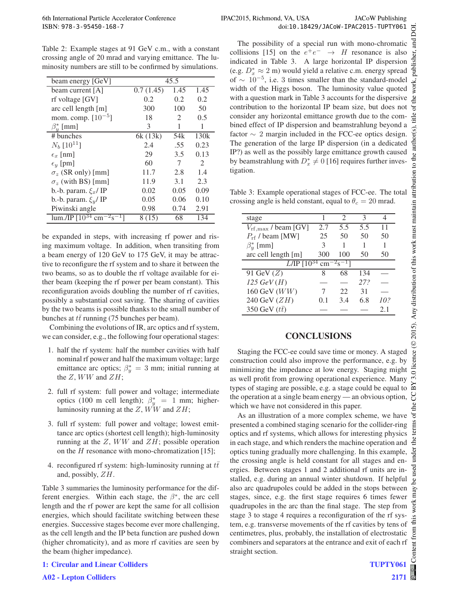Table 2: Example stages at 91 GeV c.m., with a constant crossing angle of 20 mrad and varying emittance. The luminosity numbers are still to be confirmed by simulations.

| beam energy [GeV]                           | 45.5      |      |                             |  |
|---------------------------------------------|-----------|------|-----------------------------|--|
| beam current [A]                            | 0.7(1.45) | 1.45 | 1.45                        |  |
| rf voltage [GV]                             | 0.2       | 0.2  | 0.2                         |  |
| arc cell length $[m]$                       | 300       | 100  | 50                          |  |
| mom. comp. $[10^{-5}]$                      | 18        | 2    | 0.5                         |  |
| $\beta_u^*$ [mm]                            | 3         | 1    | 1                           |  |
| # bunches                                   | 6k (13k)  | 54k  | 130 <sub>k</sub>            |  |
| $N_b$ [10 <sup>11</sup> ]                   | 2.4       | .55  | 0.23                        |  |
| $\epsilon_x$ [nm]                           | 29        | 3.5  | 0.13                        |  |
| $\epsilon_y$ [pm]                           | 60        | 7    | $\mathcal{D}_{\mathcal{L}}$ |  |
| $\sigma_z$ (SR only) [mm]                   | 11.7      | 2.8  | 1.4                         |  |
| $\sigma_z$ (with BS) [mm]                   | 11.9      | 3.1  | 2.3                         |  |
| b.-b. param. $\xi_x$ / IP                   | 0.02      | 0.05 | 0.09                        |  |
| b.-b. param. $\xi_v$ / IP                   | 0.05      | 0.06 | 0.10                        |  |
| Piwinski angle                              | 0.98      | 0.74 | 2.91                        |  |
| $cm^{-2} s^{-1}$<br>$\mu$ m./IP $[10^{34}]$ | 8 (15)    | 68   | 134                         |  |

be expanded in steps, with increasing rf power and rising maximum voltage. In addition, when transiting from a beam energy of 120 GeV to 175 GeV, it may be attractive to reconfigure the rf system and to share it between the two beams, so as to double the rf voltage available for either beam (keeping the rf power per beam constant). This reconfiguration avoids doubling the number of rf cavities, possibly a substantial cost saving. The sharing of cavities by the two beams is possible thanks to the small number of bunches at  $t\bar{t}$  running (75 bunches per beam).

Combining the evolutions of IR, arc optics and rf system, we can consider, e.g., the following four operational stages:

- 1. half the rf system: half the number cavities with half nominal rf power and half the maximum voltage; large emittance arc optics;  $\beta_y^* = 3$  mm; initial running at the  $Z$ ,  $WW$  and  $ZH$ ;
- 2. full rf system: full power and voltage; intermediate optics (100 m cell length);  $\beta_y^* = 1$  mm; higherluminosity running at the  $Z$ ,  $\ddot{WW}$  and  $ZH$ ;
- 3. full rf system: full power and voltage; lowest emittance arc optics (shortest cell length); high-luminosity running at the  $Z$ ,  $WW$  and  $ZH$ ; possible operation on the  $H$  resonance with mono-chromatization [15];
- 4. reconfigured rf system: high-luminosity running at  $t\bar{t}$ and, possibly, ZH.

Table 3 summaries the luminosity performance for the different energies. Within each stage, the  $\beta^*$ , the arc cell length and the rf power are kept the same for all collision energies, which should facilitate switching between these energies. Successive stages become ever more challenging, as the cell length and the IP beta function are pushed down (higher chromaticity), and as more rf cavities are seen by the beam (higher impedance).

The possibility of a special run with mono-chromatic collisions [15] on the  $e^+e^- \rightarrow H$  resonance is also indicated in Table 3. A large horizontal IP dispersion (e.g.  $D_x^* \approx 2$  m) would yield a relative c.m. energy spread of  $\sim 10^{-5}$ , i.e. 3 times smaller than the standard-model width of the Higgs boson. The luminosity value quoted with a question mark in Table 3 accounts for the dispersive contribution to the horizontal IP beam size, but does not consider any horizontal emittance growth due to the combined effect of IP dispersion and beamstrahlung beyond a factor  $\sim$  2 margin included in the FCC-ee optics design. The generation of the large IP dispersion (in a dedicated IP?) as well as the possibly large emittance growth caused by beamstrahlung with  $D_x^* \neq 0$  [16] requires further investigation.

Table 3: Example operational stages of FCC-ee. The total crossing angle is held constant, equal to  $\theta_c = 20$  mrad.

| stage                                                       |        | $\mathcal{D}_{\mathcal{A}}$ | 3   |     |  |  |
|-------------------------------------------------------------|--------|-----------------------------|-----|-----|--|--|
| $V_{\rm rf,max}$ / beam [GV]                                | 2.7    | 5.5                         | 5.5 | 11  |  |  |
| $P_{\rm rf}$ / beam [MW]                                    | 25     | 50                          | 50  | 50  |  |  |
| $\beta_{\nu}^{*}$ [mm]                                      | 3      |                             |     |     |  |  |
| arc cell length [m]                                         | 300    | 100                         | 50  | 50  |  |  |
| $L/IP$ [10 <sup>34</sup> cm <sup>-2</sup> s <sup>-1</sup> ] |        |                             |     |     |  |  |
| 91 GeV $(Z)$                                                | 8      | 68                          | 134 |     |  |  |
| $125 \text{ GeV}(H)$                                        |        |                             | 27? |     |  |  |
| $160 \text{ GeV } (WW)$                                     |        | 22                          | 31  |     |  |  |
| 240 GeV (ZH)                                                | (0, 1) | 3.4                         | 6.8 | 10? |  |  |
| 350 GeV $(t\bar{t})$                                        |        |                             |     | 2.1 |  |  |

## **CONCLUSIONS**

Staging the FCC-ee could save time or money. A staged construction could also improve the performance, e.g. by minimizing the impedance at low energy. Staging might as well profit from growing operational experience. Many types of staging are possible, e.g. a stage could be equal to the operation at a single beam energy — an obvious option, which we have not considered in this paper.

As an illustration of a more complex scheme, we have presented a combined staging scenario for the collider-ring optics and rf systems, which allows for interesting physics in each stage, and which renders the machine operation and optics tuning gradually more challenging. In this example, the crossing angle is held constant for all stages and energies. Between stages 1 and 2 additional rf units are installed, e.g. during an annual winter shutdown. If helpful also arc quadrupoles could be added in the stops between stages, since, e.g. the first stage requires 6 times fewer quadrupoles in the arc than the final stage. The step from stage 3 to stage 4 requires a reconfiguration of the rf system, e.g. transverse movements of the rf cavities by tens of centimetres, plus, probably, the installation of electrostatic combiners and separators at the entrance and exit of each rf straight section.

ğ

**TUPTY061 2171**

**1: Circular and Linear Colliders**

**A02 - Lepton Colliders**